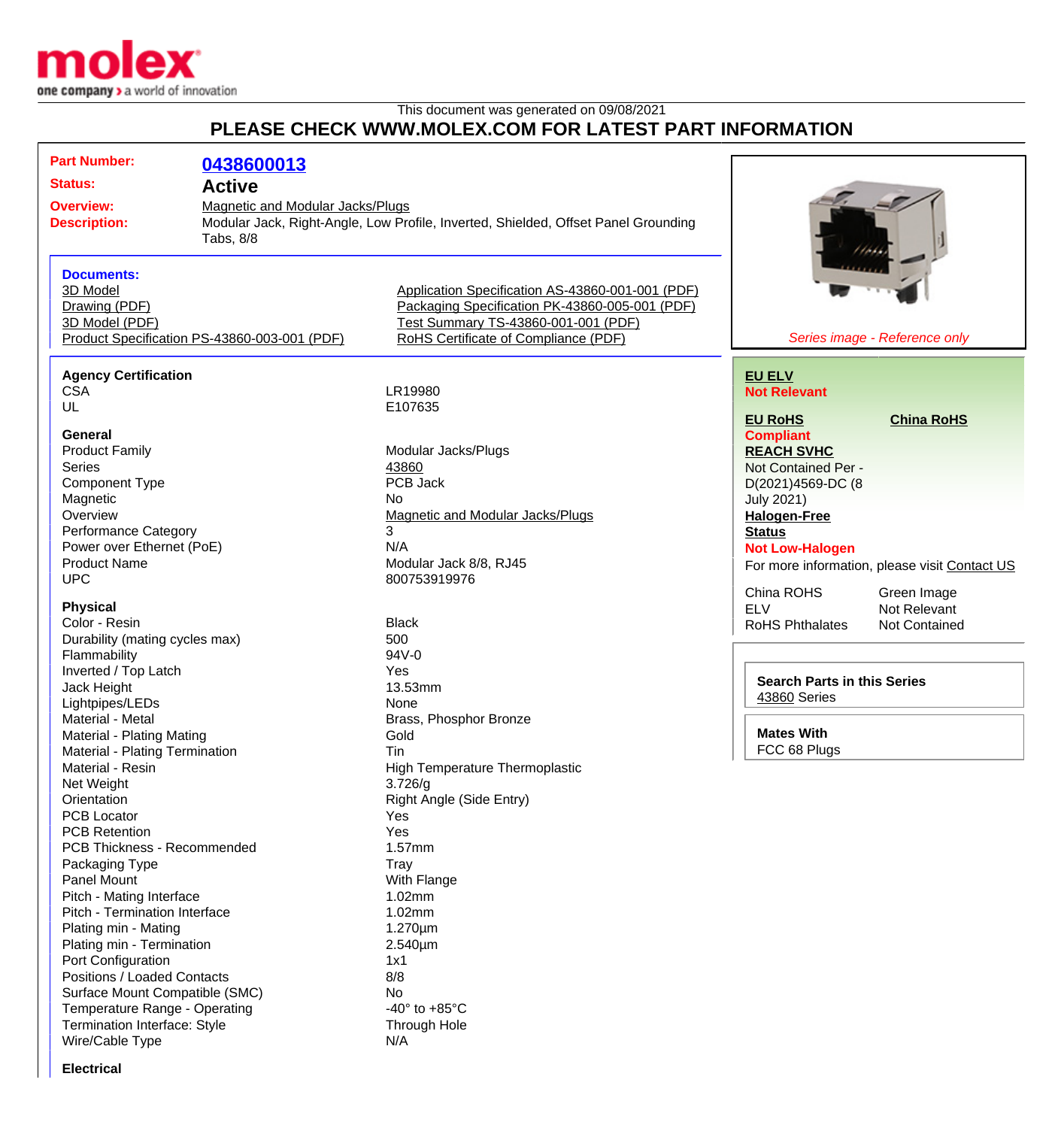

This document was generated on 09/08/2021

## **PLEASE CHECK WWW.MOLEX.COM FOR LATEST PART INFORMATION**

| <b>Part Number:</b>                                                                             | 0438600013                                   |                                                                                                                                                                                   |                                               |
|-------------------------------------------------------------------------------------------------|----------------------------------------------|-----------------------------------------------------------------------------------------------------------------------------------------------------------------------------------|-----------------------------------------------|
|                                                                                                 |                                              |                                                                                                                                                                                   |                                               |
| <b>Status:</b>                                                                                  | <b>Active</b>                                |                                                                                                                                                                                   |                                               |
| <b>Overview:</b><br><b>Magnetic and Modular Jacks/Plugs</b><br><b>Description:</b><br>Tabs, 8/8 |                                              | Modular Jack, Right-Angle, Low Profile, Inverted, Shielded, Offset Panel Grounding                                                                                                |                                               |
| <b>Documents:</b><br>3D Model<br>Drawing (PDF)<br>3D Model (PDF)                                | Product Specification PS-43860-003-001 (PDF) | Application Specification AS-43860-001-001 (PDF)<br>Packaging Specification PK-43860-005-001 (PDF)<br>Test Summary TS-43860-001-001 (PDF)<br>RoHS Certificate of Compliance (PDF) | Series image - Reference only                 |
|                                                                                                 |                                              |                                                                                                                                                                                   |                                               |
| <b>Agency Certification</b>                                                                     |                                              |                                                                                                                                                                                   | <b>EU ELV</b>                                 |
| <b>CSA</b>                                                                                      |                                              | LR19980                                                                                                                                                                           | <b>Not Relevant</b>                           |
| UL                                                                                              |                                              | E107635                                                                                                                                                                           | <b>EU RoHS</b><br><b>China RoHS</b>           |
| <b>General</b>                                                                                  |                                              |                                                                                                                                                                                   | <b>Compliant</b>                              |
| <b>Product Family</b>                                                                           |                                              | Modular Jacks/Plugs                                                                                                                                                               | <b>REACH SVHC</b>                             |
| <b>Series</b>                                                                                   |                                              | 43860                                                                                                                                                                             | Not Contained Per -                           |
|                                                                                                 |                                              | PCB Jack                                                                                                                                                                          |                                               |
| <b>Component Type</b>                                                                           |                                              | No                                                                                                                                                                                | D(2021)4569-DC (8                             |
| Magnetic                                                                                        |                                              | Magnetic and Modular Jacks/Plugs                                                                                                                                                  | <b>July 2021)</b>                             |
| Overview                                                                                        |                                              | 3                                                                                                                                                                                 | <b>Halogen-Free</b>                           |
| <b>Performance Category</b>                                                                     |                                              | N/A                                                                                                                                                                               | <b>Status</b>                                 |
| Power over Ethernet (PoE)<br><b>Product Name</b>                                                |                                              | Modular Jack 8/8, RJ45                                                                                                                                                            | <b>Not Low-Halogen</b>                        |
| <b>UPC</b>                                                                                      |                                              | 800753919976                                                                                                                                                                      | For more information, please visit Contact US |
|                                                                                                 |                                              |                                                                                                                                                                                   | China ROHS<br>Green Image                     |
| <b>Physical</b>                                                                                 |                                              |                                                                                                                                                                                   | <b>ELV</b><br>Not Relevant                    |
| Color - Resin                                                                                   |                                              | <b>Black</b>                                                                                                                                                                      | <b>RoHS Phthalates</b><br>Not Contained       |
| Durability (mating cycles max)                                                                  |                                              | 500                                                                                                                                                                               |                                               |
| Flammability                                                                                    |                                              | 94V-0                                                                                                                                                                             |                                               |
| Inverted / Top Latch                                                                            |                                              | Yes                                                                                                                                                                               |                                               |
| Jack Height                                                                                     |                                              | 13.53mm                                                                                                                                                                           | <b>Search Parts in this Series</b>            |
| Lightpipes/LEDs                                                                                 |                                              | None                                                                                                                                                                              | 43860 Series                                  |
| Material - Metal                                                                                |                                              | Brass, Phosphor Bronze                                                                                                                                                            |                                               |
| Material - Plating Mating                                                                       |                                              | Gold                                                                                                                                                                              | <b>Mates With</b>                             |
| <b>Material - Plating Termination</b>                                                           |                                              | Tin                                                                                                                                                                               | FCC 68 Plugs                                  |
| Material - Resin                                                                                |                                              | <b>High Temperature Thermoplastic</b>                                                                                                                                             |                                               |
| Net Weight                                                                                      |                                              | 3.726/g                                                                                                                                                                           |                                               |
| Orientation                                                                                     |                                              | Right Angle (Side Entry)                                                                                                                                                          |                                               |
| <b>PCB Locator</b>                                                                              |                                              | Yes                                                                                                                                                                               |                                               |
| <b>PCB Retention</b>                                                                            |                                              | Yes                                                                                                                                                                               |                                               |
| PCB Thickness - Recommended                                                                     |                                              | 1.57mm                                                                                                                                                                            |                                               |
| Packaging Type                                                                                  |                                              | Tray                                                                                                                                                                              |                                               |
| <b>Panel Mount</b>                                                                              |                                              | With Flange                                                                                                                                                                       |                                               |
| Pitch - Mating Interface                                                                        |                                              | 1.02mm                                                                                                                                                                            |                                               |
| Pitch - Termination Interface                                                                   |                                              | 1.02mm                                                                                                                                                                            |                                               |
| Plating min - Mating                                                                            |                                              | $1.270 \mu m$                                                                                                                                                                     |                                               |
| Plating min - Termination                                                                       |                                              | 2.540µm                                                                                                                                                                           |                                               |
| Port Configuration                                                                              |                                              | 1x1                                                                                                                                                                               |                                               |
| Positions / Loaded Contacts                                                                     |                                              | 8/8                                                                                                                                                                               |                                               |
| Surface Mount Compatible (SMC)                                                                  |                                              | No                                                                                                                                                                                |                                               |
| Temperature Range - Operating                                                                   |                                              | -40 $\degree$ to +85 $\degree$ C                                                                                                                                                  |                                               |
| Termination Interface: Style                                                                    |                                              | <b>Through Hole</b>                                                                                                                                                               |                                               |
| Wire/Cable Type                                                                                 |                                              | N/A                                                                                                                                                                               |                                               |
|                                                                                                 |                                              |                                                                                                                                                                                   |                                               |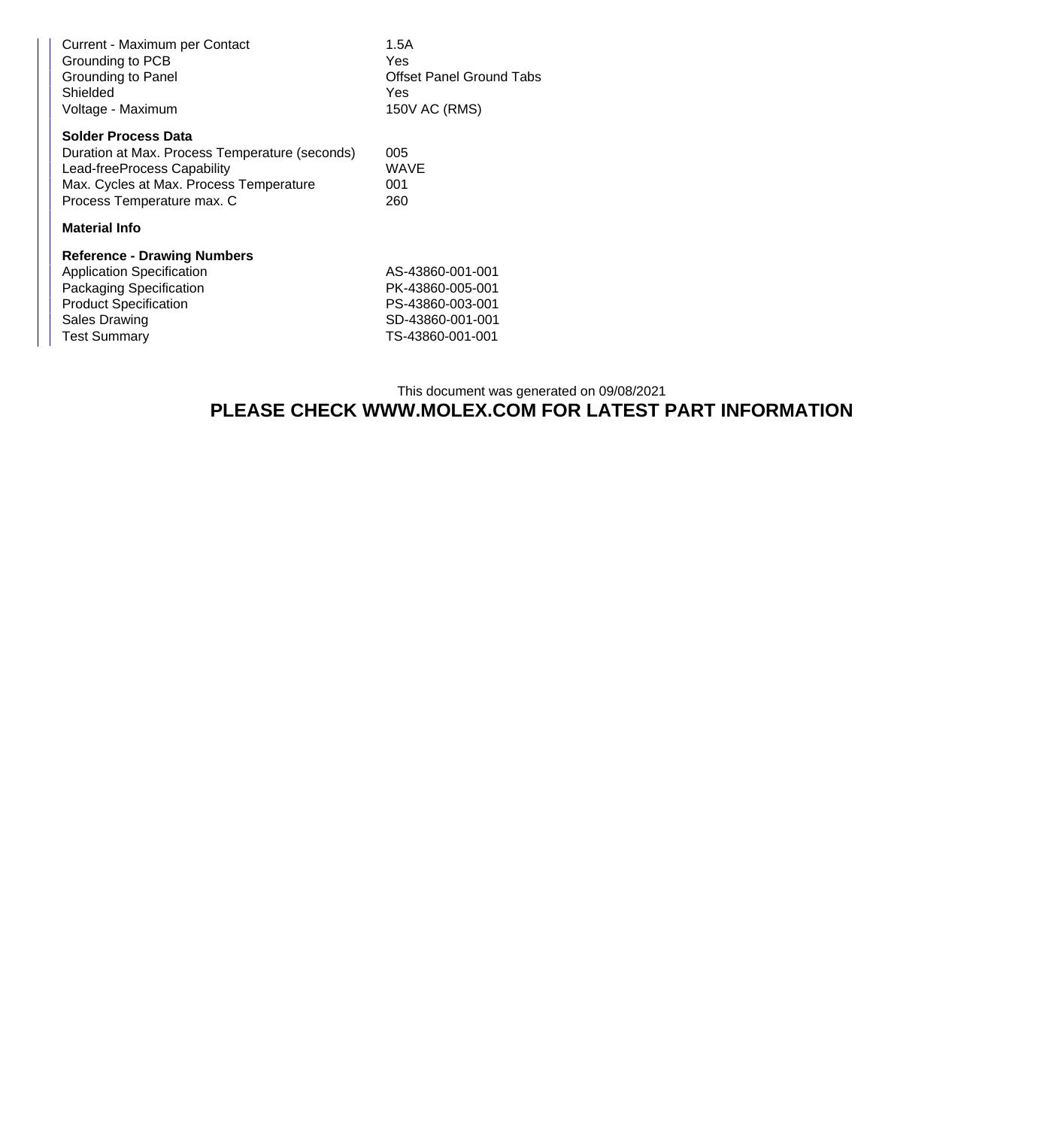| Current - Maximum per Contact<br>Grounding to PCB<br>Grounding to Panel<br>Shielded<br>Voltage - Maximum | 1.5A<br>Yes<br><b>Offset Panel Ground Tabs</b><br>Yes<br>150V AC (RMS) |  |  |  |
|----------------------------------------------------------------------------------------------------------|------------------------------------------------------------------------|--|--|--|
| <b>Solder Process Data</b>                                                                               |                                                                        |  |  |  |
| Duration at Max. Process Temperature (seconds)                                                           | 005                                                                    |  |  |  |
| Lead-freeProcess Capability                                                                              | <b>WAVE</b>                                                            |  |  |  |
| Max. Cycles at Max. Process Temperature                                                                  | 001                                                                    |  |  |  |
| Process Temperature max. C                                                                               | 260                                                                    |  |  |  |
| <b>Material Info</b>                                                                                     |                                                                        |  |  |  |
| <b>Reference - Drawing Numbers</b>                                                                       |                                                                        |  |  |  |
| <b>Application Specification</b>                                                                         | AS-43860-001-001                                                       |  |  |  |
| Packaging Specification                                                                                  | PK-43860-005-001                                                       |  |  |  |
| <b>Product Specification</b>                                                                             | PS-43860-003-001                                                       |  |  |  |
| Sales Drawing                                                                                            | SD-43860-001-001                                                       |  |  |  |
| <b>Test Summary</b>                                                                                      | TS-43860-001-001                                                       |  |  |  |

## This document was generated on 09/08/2021 **PLEASE CHECK WWW.MOLEX.COM FOR LATEST PART INFORMATION**